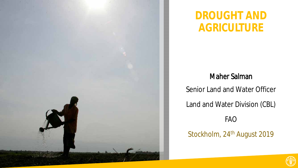

#### **DROUGHT AND AGRICULTURE**

#### Maher Salman

Senior Land and Water Officer

Land and Water Division (CBL)

FAO

Stockholm, 24<sup>th</sup> August 2019

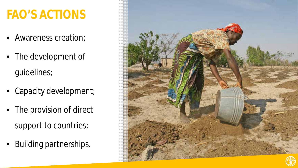## **FAO'S ACTIONS**

- Awareness creation;
- The development of guidelines;
- Capacity development;
- The provision of direct support to countries;
- Building partnerships.

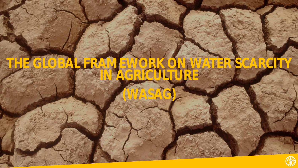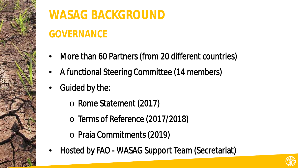

## **WASAG BACKGROUND**

## **GOVERNANCE**

- More than 60 Partners (from 20 different countries)
- A functional Steering Committee (14 members)
- Guided by the:
	- o Rome Statement (2017)
	- o Terms of Reference (2017/2018)
	- o Praia Commitments (2019)
- Hosted by FAO WASAG Support Team (Secretariat)

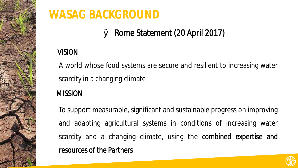

### **WASAG BACKGROUND**

#### Ø Rome Statement (20 April 2017)

#### VISION

 $\overline{\phantom{0}}$ A world whose food systems are secure and resilient to increasing water scarcity in a changing climate

#### **MISSION**

To support measurable, significant and sustainable progress on improving and adapting agricultural systems in conditions of increasing water scarcity and a changing climate, using the **combined expertise and** resources of the Partners

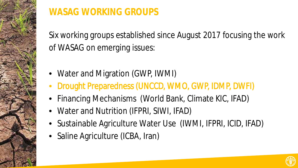

#### **WASAG WORKING GROUPS**

Six working groups established since August 2017 focusing the work of WASAG on emerging issues:

- Water and Migration (GWP, IWMI)
- Drought Preparedness (UNCCD, WMO, GWP, IDMP, DWFI)
- Financing Mechanisms (World Bank, Climate KIC, IFAD)
- Water and Nutrition (IFPRI, SIWI, IFAD)
- Sustainable Agriculture Water Use (IWMI, IFPRI, ICID, IFAD)
- Saline Agriculture (ICBA, Iran)

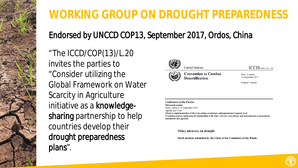

## **WORKING GROUP ON DROUGHT PREPAREDNESS**

#### Endorsed by UNCCD COP13, September 2017, Ordos, China

"The ICCD/COP(13)/L.20 invites the parties to "Consider utilizing the Global Framework on Water Scarcity in Agriculture initiative as a knowledgesharing partnership to help countries develop their drought preparedness plans".



**Convention to Combat Desertification** 

 $ICCD$ / $COP(13)$ / $L.20$ 

Distr.: Limited 14 September 2017

Original: English

**Conference of the Parties Thirteenth session** Ordos, China, 6-16 September 2017 Agenda item 3 (d) Effective implementation of the Convention at national, subregional and regional level Promotion and strengthening of relationships with other relevant conventions and international organizations, institutions and agencies

Policy advocacy on drought

Draft decision submitted by the Chair of the Committee of the Whole

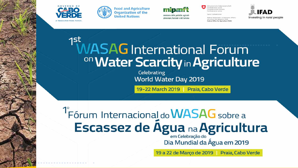







wiss Confederation

ederal Department of Economic Affairs Education and Research EAER ederal Office for Agriculture FOAG



# Investing in rural people

#### 1st **WASAG** International Forum <sup>on</sup> Water Scarcity in Agriculture

Celebrating World Water Day 2019

19-22 March 2019 | Praia, Cabo Verde

<sup>1</sup> Fórum Internacional do **WASAG** sobre a Escassez de Água na Agricultura

Dia Mundial da Água em 2019

19 a 22 de Março de 2019 | Praia, Cabo Verde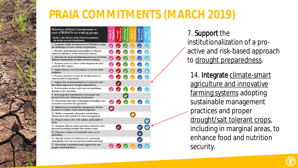## **PRAIA COMMITMENTS (MARCH 2019)**



7. Support the institutionalization of a proactive and risk-based approach to drought preparedness.

14. Integrate climate-smart agriculture and innovative farming systems adopting sustainable management practices and proper drought/salt tolerant crops, including in marginal areas, to enhance food and nutrition security.

![](_page_8_Picture_4.jpeg)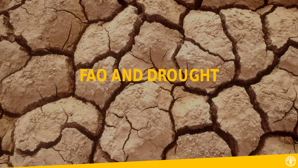![](_page_9_Picture_0.jpeg)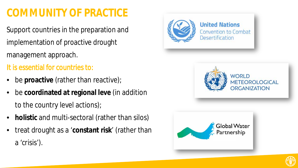### **COMMUNITY OF PRACTICE**

Support countries in the preparation and implementation of proactive drought management approach.

It is essential for countries to:

- be **proactive** (rather than reactive);
- be **coordinated at regional leve** (in addition to the country level actions);
- **holistic** and multi-sectoral (rather than silos)
- treat drought as a '**constant risk**' (rather than a 'crisis').

![](_page_10_Picture_7.jpeg)

![](_page_10_Picture_8.jpeg)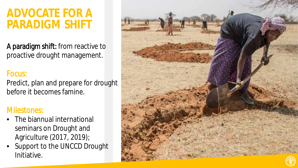### **ADVOCATE FOR A PARADIGM SHIFT**

A paradigm shift: from reactive to proactive drought management.

#### Focus:

Predict, plan and prepare for drought before it becomes famine.

#### Milestones:

- The biannual international seminars on Drought and Agriculture (2017, 2019);
- Support to the UNCCD Drought Initiative.

![](_page_11_Picture_7.jpeg)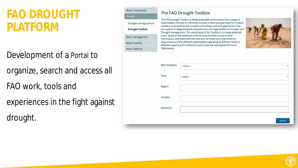## **FAO DROUGHT PLATFORM**

- Development of a Portal to
- organize, search and access all
- FAO work, tools and
- experiences in the fight against
- drought.

#### Water Governance Drought

#### Drought and Agriculture **Drought Toolbox** Water Management **Water Scarcity** Water Platform

#### The FAO Drought Toolbox

The FAO Drought Toolbox is freely accessible online source for a range of stakeholders, directly or indirectly involved in land use planning. The Toolbox contains a comprehensive numbers of existing tools and approaches that are used to in diagnosing the characteristics and approaches to Drought and Drought management. The overall goal of the Toolbox is to make potentail users aware of the existence of these tools, facilitate access to their information, and assist with the selection of those tools that meet the requirements of the different stakeholders, operating at different levels, in different regions, and in different sectors. See the users' guide for more information.

![](_page_12_Picture_10.jpeg)

| Main Category | - select -                 | $\mathcal{P}$ |
|---------------|----------------------------|---------------|
| Pillar        | -select<br>المركب والمستور | $\mathbf{v}$  |
| Region        |                            |               |
| Country       |                            |               |
| Keywords      |                            |               |
|               |                            | search        |

![](_page_12_Picture_12.jpeg)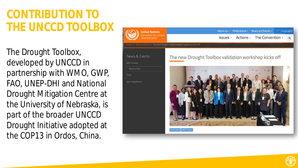## **CONTRIBUTION TO THE UNCCD TOOLBOX**

The Drought Toolbox, developed by UNCCD in partnership with WMO, GWP, FAO, UNEP-DHI and National Drought Mitigation Centre at the University of Nebraska, is part of the broader UNCCD Drought Initiative adopted at the COP13 in Ordos, China.

![](_page_13_Picture_2.jpeg)

![](_page_13_Picture_3.jpeg)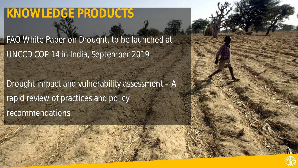## **KNOWLEDGE PRODUCTS**

FAO White Paper on Drought, to be launched at UNCCD COP 14 in India, September 2019

Drought impact and vulnerability assessment – A rapid review of practices and policy recommendations

![](_page_14_Picture_3.jpeg)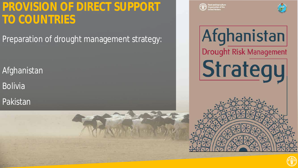## **PROVISION OF DIRECT SUPPORT TO COUNTRIES**

Preparation of drought management strategy:

Afghanistan

Bolivia

Pakistan

![](_page_15_Picture_5.jpeg)

![](_page_15_Picture_6.jpeg)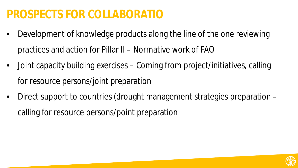## **PROSPECTS FOR COLLABORATIO**

÷

- Development of knowledge products along the line of the one reviewing practices and action for Pillar II – Normative work of FAO
- Joint capacity building exercises Coming from project/initiatives, calling for resource persons/joint preparation
- Direct support to countries (drought management strategies preparation calling for resource persons/point preparation

![](_page_16_Picture_4.jpeg)